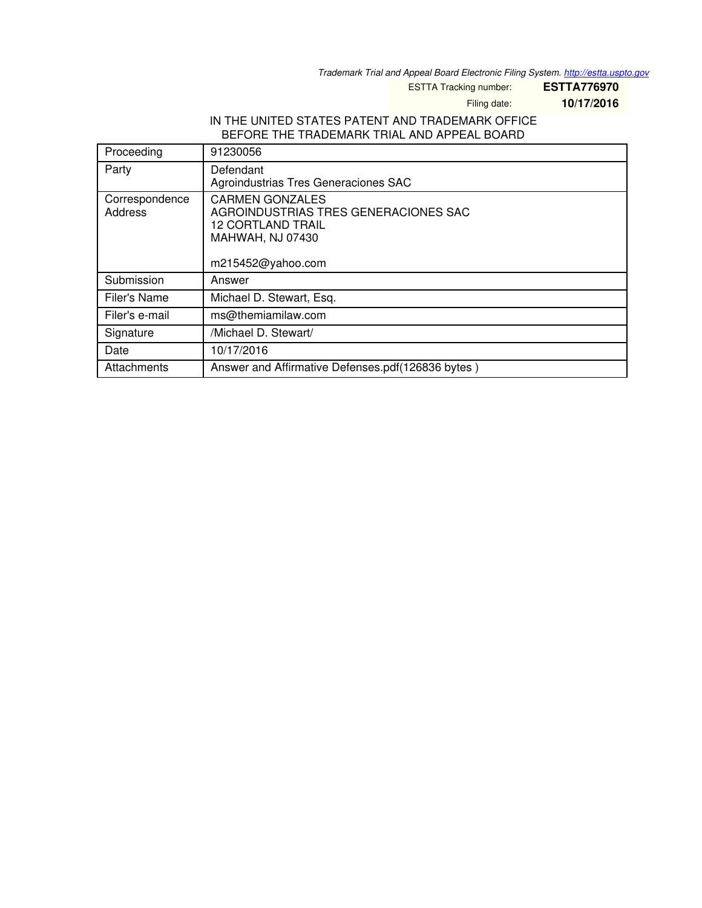*Trademark Trial and Appeal Board Electronic Filing System. <http://estta.uspto.gov>*

ESTTA Tracking number: **ESTTA776970**

Filing date: **10/17/2016**

## IN THE UNITED STATES PATENT AND TRADEMARK OFFICE BEFORE THE TRADEMARK TRIAL AND APPEAL BOARD

| Proceeding     | 91230056                                          |
|----------------|---------------------------------------------------|
| Party          | Defendant                                         |
|                | Agroindustrias Tres Generaciones SAC              |
| Correspondence | <b>CARMEN GONZALES</b>                            |
| Address        | AGROINDUSTRIAS TRES GENERACIONES SAC              |
|                | <b>12 CORTLAND TRAIL</b>                          |
|                | <b>MAHWAH, NJ 07430</b>                           |
|                |                                                   |
|                | m215452@yahoo.com                                 |
| Submission     | Answer                                            |
| Filer's Name   | Michael D. Stewart, Esq.                          |
| Filer's e-mail | ms@themiamilaw.com                                |
| Signature      | /Michael D. Stewart/                              |
| Date           | 10/17/2016                                        |
| Attachments    | Answer and Affirmative Defenses.pdf(126836 bytes) |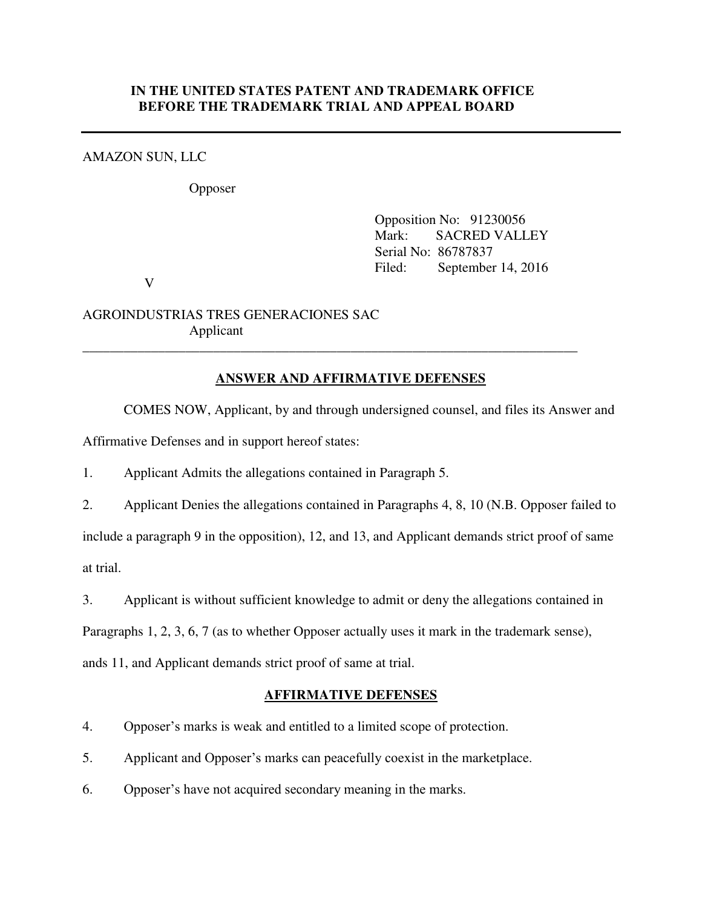### **IN THE UNITED STATES PATENT AND TRADEMARK OFFICE BEFORE THE TRADEMARK TRIAL AND APPEAL BOARD**

### AMAZON SUN, LLC

Opposer

 Opposition No: 91230056 Mark: SACRED VALLEY Serial No: 86787837 Filed: September 14, 2016

V

AGROINDUSTRIAS TRES GENERACIONES SAC Applicant

# **ANSWER AND AFFIRMATIVE DEFENSES**

 $\overline{\phantom{a}}$  , and the contract of the contract of the contract of the contract of the contract of the contract of the contract of the contract of the contract of the contract of the contract of the contract of the contrac

COMES NOW, Applicant, by and through undersigned counsel, and files its Answer and

Affirmative Defenses and in support hereof states:

1. Applicant Admits the allegations contained in Paragraph 5.

2. Applicant Denies the allegations contained in Paragraphs 4, 8, 10 (N.B. Opposer failed to include a paragraph 9 in the opposition), 12, and 13, and Applicant demands strict proof of same at trial.

3. Applicant is without sufficient knowledge to admit or deny the allegations contained in

Paragraphs 1, 2, 3, 6, 7 (as to whether Opposer actually uses it mark in the trademark sense),

ands 11, and Applicant demands strict proof of same at trial.

### **AFFIRMATIVE DEFENSES**

- 4. Opposer's marks is weak and entitled to a limited scope of protection.
- 5. Applicant and Opposer's marks can peacefully coexist in the marketplace.
- 6. Opposer's have not acquired secondary meaning in the marks.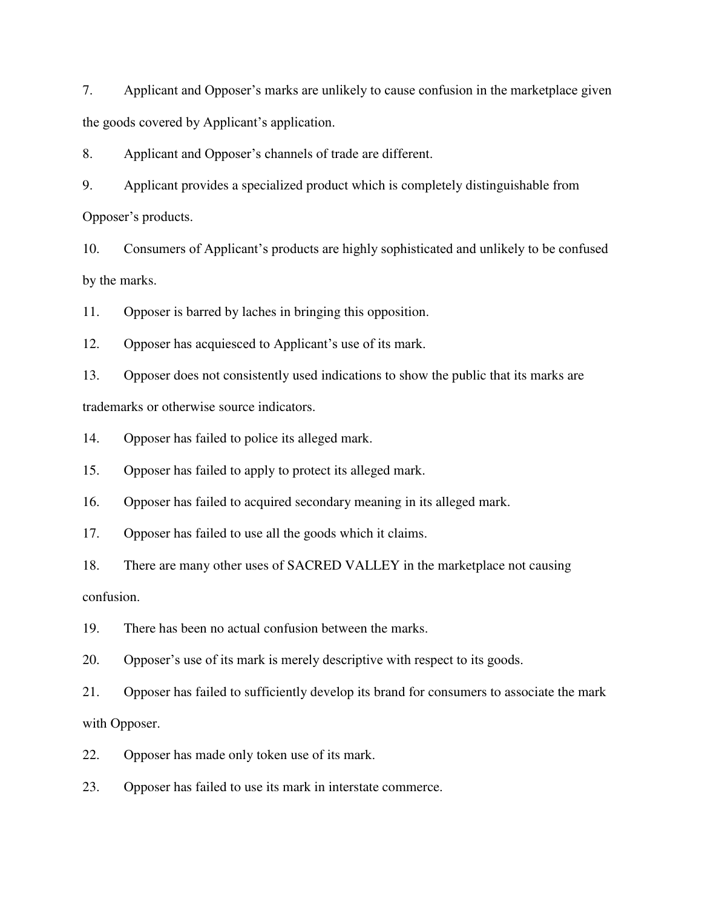7. Applicant and Opposer's marks are unlikely to cause confusion in the marketplace given the goods covered by Applicant's application.

8. Applicant and Opposer's channels of trade are different.

9. Applicant provides a specialized product which is completely distinguishable from Opposer's products.

10. Consumers of Applicant's products are highly sophisticated and unlikely to be confused by the marks.

11. Opposer is barred by laches in bringing this opposition.

12. Opposer has acquiesced to Applicant's use of its mark.

13. Opposer does not consistently used indications to show the public that its marks are trademarks or otherwise source indicators.

14. Opposer has failed to police its alleged mark.

15. Opposer has failed to apply to protect its alleged mark.

16. Opposer has failed to acquired secondary meaning in its alleged mark.

17. Opposer has failed to use all the goods which it claims.

18. There are many other uses of SACRED VALLEY in the marketplace not causing confusion.

19. There has been no actual confusion between the marks.

20. Opposer's use of its mark is merely descriptive with respect to its goods.

21. Opposer has failed to sufficiently develop its brand for consumers to associate the mark with Opposer.

22. Opposer has made only token use of its mark.

23. Opposer has failed to use its mark in interstate commerce.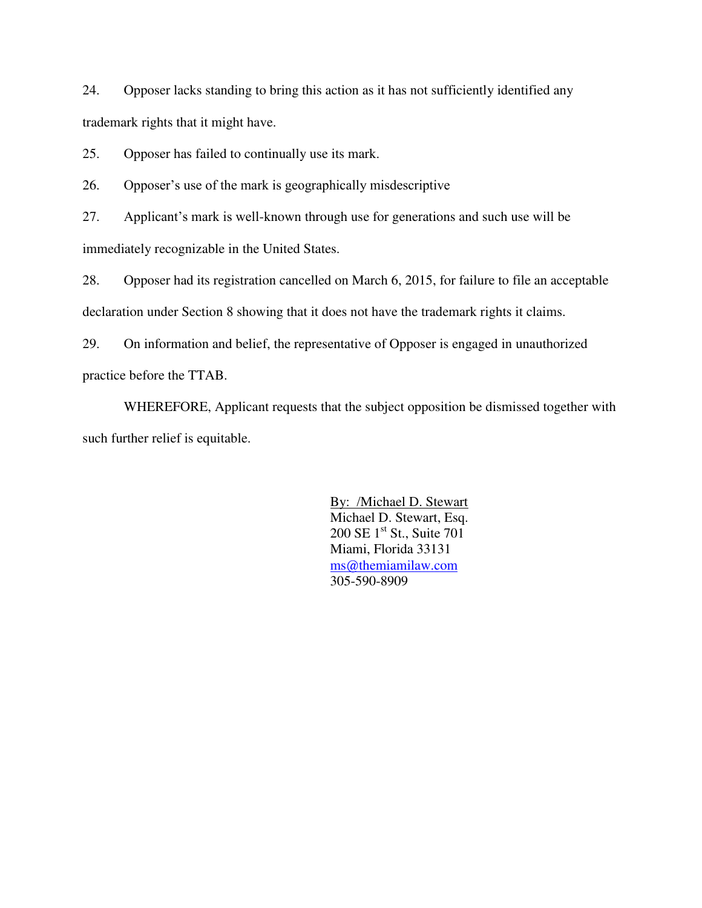24. Opposer lacks standing to bring this action as it has not sufficiently identified any trademark rights that it might have.

25. Opposer has failed to continually use its mark.

26. Opposer's use of the mark is geographically misdescriptive

27. Applicant's mark is well-known through use for generations and such use will be immediately recognizable in the United States.

28. Opposer had its registration cancelled on March 6, 2015, for failure to file an acceptable declaration under Section 8 showing that it does not have the trademark rights it claims.

29. On information and belief, the representative of Opposer is engaged in unauthorized practice before the TTAB.

 WHEREFORE, Applicant requests that the subject opposition be dismissed together with such further relief is equitable.

> By: /Michael D. Stewart Michael D. Stewart, Esq. 200 SE 1<sup>st</sup> St., Suite 701 Miami, Florida 33131 [ms@themiamilaw.com](mailto:ms@themiamilaw.com) 305-590-8909